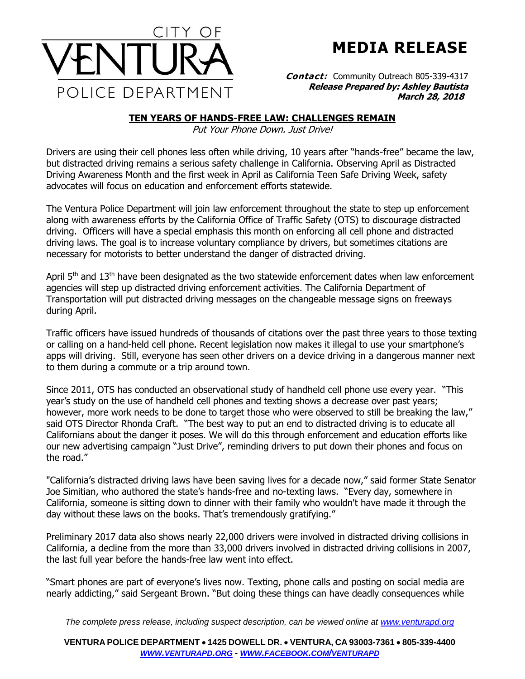

**MEDIA RELEASE**

**Contact:** Community Outreach 805-339-4317 **Release Prepared by: Ashley Bautista**

## **TEN YEARS OF HANDS-FREE LAW: CHALLENGES REMAIN**

Put Your Phone Down. Just Drive!

Drivers are using their cell phones less often while driving, 10 years after "hands-free" became the law, but distracted driving remains a serious safety challenge in California. Observing April as Distracted Driving Awareness Month and the first week in April as California Teen Safe Driving Week, safety advocates will focus on education and enforcement efforts statewide.

The Ventura Police Department will join law enforcement throughout the state to step up enforcement along with awareness efforts by the California Office of Traffic Safety (OTS) to discourage distracted driving. Officers will have a special emphasis this month on enforcing all cell phone and distracted driving laws. The goal is to increase voluntary compliance by drivers, but sometimes citations are necessary for motorists to better understand the danger of distracted driving.

April 5<sup>th</sup> and 13<sup>th</sup> have been designated as the two statewide enforcement dates when law enforcement agencies will step up distracted driving enforcement activities. The California Department of Transportation will put distracted driving messages on the changeable message signs on freeways during April.

Traffic officers have issued hundreds of thousands of citations over the past three years to those texting or calling on a hand-held cell phone. Recent legislation now makes it illegal to use your smartphone's apps will driving. Still, everyone has seen other drivers on a device driving in a dangerous manner next to them during a commute or a trip around town.

Since 2011, OTS has conducted an observational study of handheld cell phone use every year. "This year's study on the use of handheld cell phones and texting shows a decrease over past years; however, more work needs to be done to target those who were observed to still be breaking the law," said OTS Director Rhonda Craft. "The best way to put an end to distracted driving is to educate all Californians about the danger it poses. We will do this through enforcement and education efforts like our new advertising campaign "Just Drive", reminding drivers to put down their phones and focus on the road."

"California's distracted driving laws have been saving lives for a decade now," said former State Senator Joe Simitian, who authored the state's hands-free and no-texting laws. "Every day, somewhere in California, someone is sitting down to dinner with their family who wouldn't have made it through the day without these laws on the books. That's tremendously gratifying."

Preliminary 2017 data also shows nearly 22,000 drivers were involved in distracted driving collisions in California, a decline from the more than 33,000 drivers involved in distracted driving collisions in 2007, the last full year before the hands-free law went into effect.

"Smart phones are part of everyone's lives now. Texting, phone calls and posting on social media are nearly addicting," said Sergeant Brown. "But doing these things can have deadly consequences while

*The complete press release, including suspect description, can be viewed online at [www.venturapd.org](http://www.venturapd.org/)*

**VENTURA POLICE DEPARTMENT** • **1425 DOWELL DR.** • **VENTURA, CA 93003-7361** • **805-339-4400**  *WWW.[VENTURAPD](http://www.venturapd.org/).ORG* **-** *WWW.FACEBOOK.COM/[VENTURAPD](http://www.facebook.com/venturapd)*